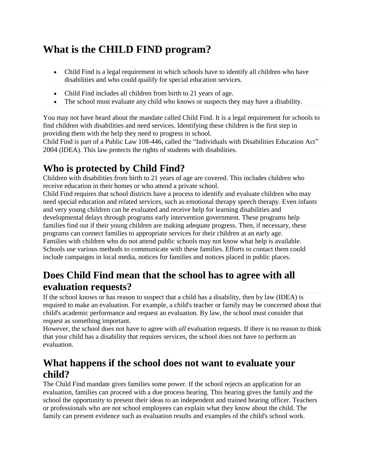## **What is the CHILD FIND program?**

- Child Find is a legal requirement in which schools have to identify all children who have disabilities and who could qualify for special education services.
- Child Find includes all children from birth to 21 years of age.
- The school must evaluate any child who knows or suspects they may have a disability.

You may not have heard about the mandate called Child Find. It is a legal requirement for schools to find children with disabilities and need services. Identifying these children is the first step in providing them with the help they need to progress in school.

Child Find is part of a Public Law 108-446, called the ["Individuals with Disabilities Education Act](https://www.understood.org/es-mx/school-learning/your-childs-rights/basics-about-childs-rights/individuals-with-disabilities-education-act-idea-what-you-need-to-know)" 2004 (IDEA). This law protects the rights of students with disabilities.

## **Who is protected by Child Find?**

Children with disabilities from birth to 21 years of age are covered. This includes children who receive education in their homes or who attend a [private school.](https://www.understood.org/es-mx/school-learning/your-childs-rights/evaluation-rights/are-private-schools-required-to-evaluate-for-special-education)

Child Find requires that school districts have a process to identify and evaluate children who may need special education and related services, such as emotional therapy speech therapy. Even infants and very young children can be evaluated and receive help for learning disabilities and developmental delays through programs [early intervention](https://www.understood.org/es-mx/learning-thinking-differences/treatments-approaches/early-intervention/early-intervention-what-it-is-and-how-it-works) government. These programs help families find out if their young children are making adequate progress. Then, if necessary, these programs can connect families to appropriate services for their children at an early age. Families with children who do not attend public schools may not know what help is available. Schools use various methods to communicate with these families. Efforts to contact them could include campaigns in local media, notices for families and notices placed in public places.

## **Does Child Find mean that the school has to agree with all evaluation requests?**

If the school knows or has reason to suspect that a child has a disability, then by law (IDEA) is required to make an evaluation. For example, a child's teacher or family may be concerned about that child's academic performance and request an evaluation. By law, the school must consider that request as something important.

However, the school does not have to agree with *all* evaluation requests. If there is no reason to think that your child has a disability that requires services, the school does not have to perform an evaluation.

## **What happens if the school does not want to evaluate your child?**

The Child Find mandate gives families some power. If the school rejects an application for an evaluation, families can proceed with a [due process hearing.](https://www.understood.org/es-mx/school-learning/your-childs-rights/dispute-resolution/what-to-expect-at-a-due-process-hearing) This hearing gives the family and the school the opportunity to present their ideas to an independent and trained hearing officer. Teachers or professionals who are not school employees can explain what they know about the child. The family can present evidence such as evaluation results and examples of the child's school work.